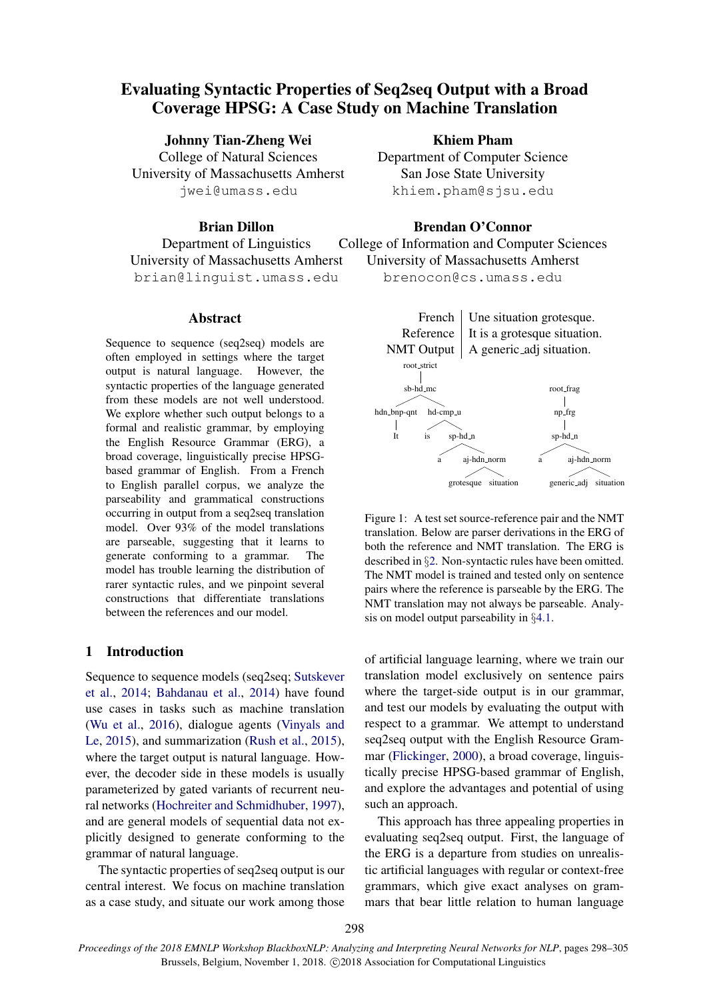# Evaluating Syntactic Properties of Seq2seq Output with a Broad Coverage HPSG: A Case Study on Machine Translation

Johnny Tian-Zheng Wei

College of Natural Sciences University of Massachusetts Amherst jwei@umass.edu

# Brian Dillon

Department of Linguistics University of Massachusetts Amherst brian@linguist.umass.edu

## Abstract

Sequence to sequence (seq2seq) models are often employed in settings where the target output is natural language. However, the syntactic properties of the language generated from these models are not well understood. We explore whether such output belongs to a formal and realistic grammar, by employing the English Resource Grammar (ERG), a broad coverage, linguistically precise HPSGbased grammar of English. From a French to English parallel corpus, we analyze the parseability and grammatical constructions occurring in output from a seq2seq translation model. Over 93% of the model translations are parseable, suggesting that it learns to generate conforming to a grammar. The model has trouble learning the distribution of rarer syntactic rules, and we pinpoint several constructions that differentiate translations between the references and our model.

# 1 Introduction

Sequence to sequence models (seq2seq; [Sutskever](#page-7-0) [et al.,](#page-7-0) [2014;](#page-7-0) [Bahdanau et al.,](#page-6-0) [2014\)](#page-6-0) have found use cases in tasks such as machine translation [\(Wu et al.,](#page-7-1) [2016\)](#page-7-1), dialogue agents [\(Vinyals and](#page-7-2) [Le,](#page-7-2) [2015\)](#page-7-2), and summarization [\(Rush et al.,](#page-7-3) [2015\)](#page-7-3), where the target output is natural language. However, the decoder side in these models is usually parameterized by gated variants of recurrent neural networks [\(Hochreiter and Schmidhuber,](#page-7-4) [1997\)](#page-7-4), and are general models of sequential data not explicitly designed to generate conforming to the grammar of natural language.

The syntactic properties of seq2seq output is our central interest. We focus on machine translation as a case study, and situate our work among those Khiem Pham

Department of Computer Science San Jose State University khiem.pham@sjsu.edu

# Brendan O'Connor

College of Information and Computer Sciences University of Massachusetts Amherst

brenocon@cs.umass.edu



<span id="page-0-0"></span>Figure 1: A test set source-reference pair and the NMT translation. Below are parser derivations in the ERG of both the reference and NMT translation. The ERG is described in §[2.](#page-1-0) Non-syntactic rules have been omitted. The NMT model is trained and tested only on sentence pairs where the reference is parseable by the ERG. The NMT translation may not always be parseable. Analysis on model output parseability in §[4.1.](#page-2-0)

of artificial language learning, where we train our translation model exclusively on sentence pairs where the target-side output is in our grammar, and test our models by evaluating the output with respect to a grammar. We attempt to understand seq2seq output with the English Resource Grammar [\(Flickinger,](#page-6-1) [2000\)](#page-6-1), a broad coverage, linguistically precise HPSG-based grammar of English, and explore the advantages and potential of using such an approach.

This approach has three appealing properties in evaluating seq2seq output. First, the language of the ERG is a departure from studies on unrealistic artificial languages with regular or context-free grammars, which give exact analyses on grammars that bear little relation to human language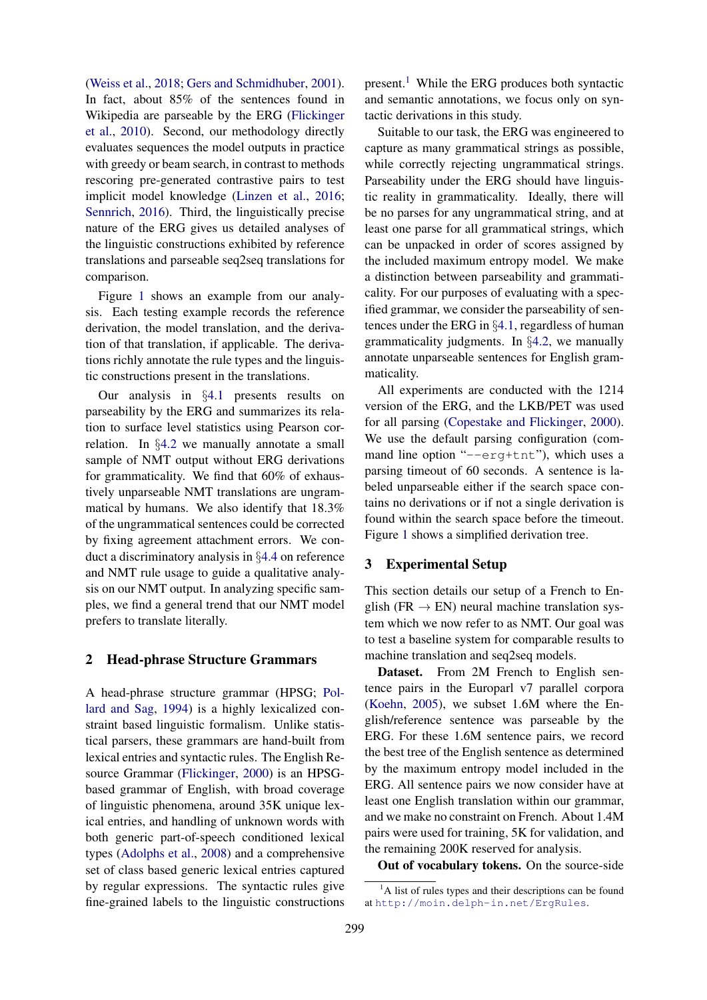[\(Weiss et al.,](#page-7-5) [2018;](#page-7-5) [Gers and Schmidhuber,](#page-6-2) [2001\)](#page-6-2). In fact, about 85% of the sentences found in Wikipedia are parseable by the ERG [\(Flickinger](#page-6-3) [et al.,](#page-6-3) [2010\)](#page-6-3). Second, our methodology directly evaluates sequences the model outputs in practice with greedy or beam search, in contrast to methods rescoring pre-generated contrastive pairs to test implicit model knowledge [\(Linzen et al.,](#page-7-6) [2016;](#page-7-6) [Sennrich,](#page-7-7) [2016\)](#page-7-7). Third, the linguistically precise nature of the ERG gives us detailed analyses of the linguistic constructions exhibited by reference translations and parseable seq2seq translations for comparison.

Figure [1](#page-0-0) shows an example from our analysis. Each testing example records the reference derivation, the model translation, and the derivation of that translation, if applicable. The derivations richly annotate the rule types and the linguistic constructions present in the translations.

Our analysis in §[4.1](#page-2-0) presents results on parseability by the ERG and summarizes its relation to surface level statistics using Pearson correlation. In §[4.2](#page-3-0) we manually annotate a small sample of NMT output without ERG derivations for grammaticality. We find that 60% of exhaustively unparseable NMT translations are ungrammatical by humans. We also identify that 18.3% of the ungrammatical sentences could be corrected by fixing agreement attachment errors. We conduct a discriminatory analysis in §[4.4](#page-4-0) on reference and NMT rule usage to guide a qualitative analysis on our NMT output. In analyzing specific samples, we find a general trend that our NMT model prefers to translate literally.

#### <span id="page-1-0"></span>2 Head-phrase Structure Grammars

A head-phrase structure grammar (HPSG; [Pol](#page-7-8)[lard and Sag,](#page-7-8) [1994\)](#page-7-8) is a highly lexicalized constraint based linguistic formalism. Unlike statistical parsers, these grammars are hand-built from lexical entries and syntactic rules. The English Resource Grammar [\(Flickinger,](#page-6-1) [2000\)](#page-6-1) is an HPSGbased grammar of English, with broad coverage of linguistic phenomena, around 35K unique lexical entries, and handling of unknown words with both generic part-of-speech conditioned lexical types [\(Adolphs et al.,](#page-6-4) [2008\)](#page-6-4) and a comprehensive set of class based generic lexical entries captured by regular expressions. The syntactic rules give fine-grained labels to the linguistic constructions

present.<sup>[1](#page-1-1)</sup> While the ERG produces both syntactic and semantic annotations, we focus only on syntactic derivations in this study.

Suitable to our task, the ERG was engineered to capture as many grammatical strings as possible, while correctly rejecting ungrammatical strings. Parseability under the ERG should have linguistic reality in grammaticality. Ideally, there will be no parses for any ungrammatical string, and at least one parse for all grammatical strings, which can be unpacked in order of scores assigned by the included maximum entropy model. We make a distinction between parseability and grammaticality. For our purposes of evaluating with a specified grammar, we consider the parseability of sentences under the ERG in §[4.1,](#page-2-0) regardless of human grammaticality judgments. In §[4.2,](#page-3-0) we manually annotate unparseable sentences for English grammaticality.

All experiments are conducted with the 1214 version of the ERG, and the LKB/PET was used for all parsing [\(Copestake and Flickinger,](#page-6-5) [2000\)](#page-6-5). We use the default parsing configuration (command line option "--erg+tnt"), which uses a parsing timeout of 60 seconds. A sentence is labeled unparseable either if the search space contains no derivations or if not a single derivation is found within the search space before the timeout. Figure [1](#page-0-0) shows a simplified derivation tree.

## 3 Experimental Setup

This section details our setup of a French to English ( $FR \rightarrow EN$ ) neural machine translation system which we now refer to as NMT. Our goal was to test a baseline system for comparable results to machine translation and seq2seq models.

Dataset. From 2M French to English sentence pairs in the Europarl v7 parallel corpora [\(Koehn,](#page-7-9) [2005\)](#page-7-9), we subset 1.6M where the English/reference sentence was parseable by the ERG. For these 1.6M sentence pairs, we record the best tree of the English sentence as determined by the maximum entropy model included in the ERG. All sentence pairs we now consider have at least one English translation within our grammar, and we make no constraint on French. About 1.4M pairs were used for training, 5K for validation, and the remaining 200K reserved for analysis.

Out of vocabulary tokens. On the source-side

<span id="page-1-1"></span> ${}^{1}$ A list of rules types and their descriptions can be found at <http://moin.delph-in.net/ErgRules>.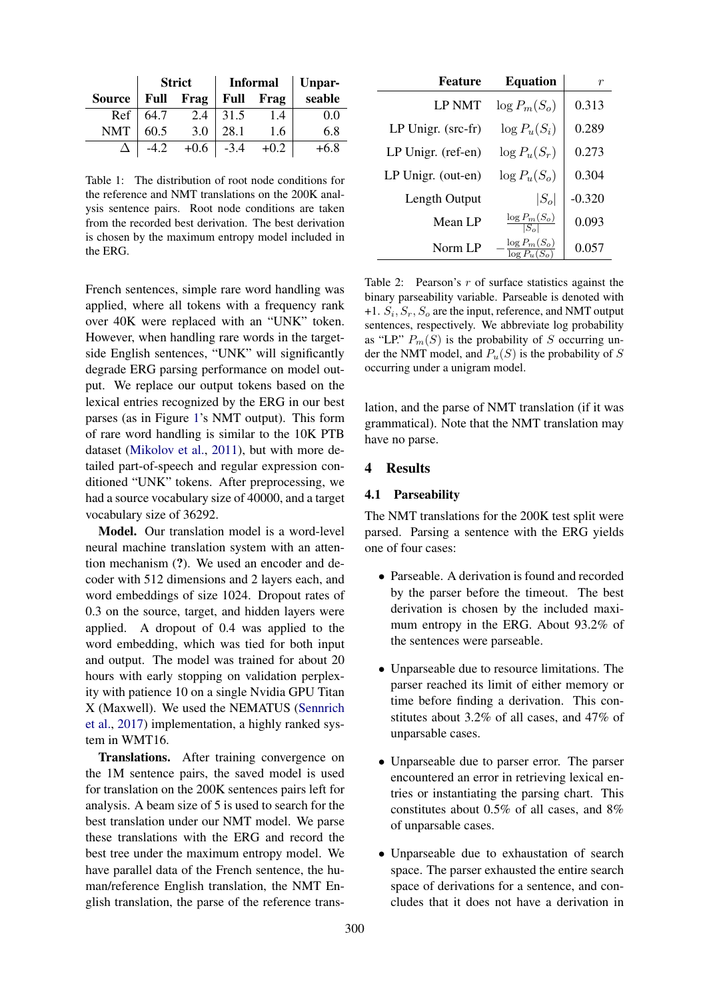|                  | <b>Strict</b> |                       | Informal Unpar- |                  |        |
|------------------|---------------|-----------------------|-----------------|------------------|--------|
| Source Full Frag |               |                       |                 | <b>Full Frag</b> | seable |
|                  |               | Ref   64.7 2.4   31.5 |                 | 1.4              | 0.0    |
| <b>NMT</b>       | 60.5          | 3.0                   | 28.1            | 1.6              | 6.8    |
|                  |               | $+0.6$ -3.4           |                 | $+0.2$           | $+6.8$ |

<span id="page-2-1"></span>Table 1: The distribution of root node conditions for the reference and NMT translations on the 200K analysis sentence pairs. Root node conditions are taken from the recorded best derivation. The best derivation is chosen by the maximum entropy model included in the ERG.

French sentences, simple rare word handling was applied, where all tokens with a frequency rank over 40K were replaced with an "UNK" token. However, when handling rare words in the targetside English sentences, "UNK" will significantly degrade ERG parsing performance on model output. We replace our output tokens based on the lexical entries recognized by the ERG in our best parses (as in Figure [1'](#page-0-0)s NMT output). This form of rare word handling is similar to the 10K PTB dataset [\(Mikolov et al.,](#page-7-10) [2011\)](#page-7-10), but with more detailed part-of-speech and regular expression conditioned "UNK" tokens. After preprocessing, we had a source vocabulary size of 40000, and a target vocabulary size of 36292.

Model. Our translation model is a word-level neural machine translation system with an attention mechanism (?). We used an encoder and decoder with 512 dimensions and 2 layers each, and word embeddings of size 1024. Dropout rates of 0.3 on the source, target, and hidden layers were applied. A dropout of 0.4 was applied to the word embedding, which was tied for both input and output. The model was trained for about 20 hours with early stopping on validation perplexity with patience 10 on a single Nvidia GPU Titan X (Maxwell). We used the NEMATUS [\(Sennrich](#page-7-11) [et al.,](#page-7-11) [2017\)](#page-7-11) implementation, a highly ranked system in WMT16.

Translations. After training convergence on the 1M sentence pairs, the saved model is used for translation on the 200K sentences pairs left for analysis. A beam size of 5 is used to search for the best translation under our NMT model. We parse these translations with the ERG and record the best tree under the maximum entropy model. We have parallel data of the French sentence, the human/reference English translation, the NMT English translation, the parse of the reference trans-

| <b>Feature</b>     | <b>Equation</b>                    | r        |
|--------------------|------------------------------------|----------|
| <b>LP NMT</b>      | $\log P_m(S_o)$                    | 0.313    |
| LP Unigr. (src-fr) | $\log P_u(S_i)$                    | 0.289    |
| LP Unigr. (ref-en) | $\log P_u(S_r)$                    | 0.273    |
| LP Unigr. (out-en) | $\log P_u(S_o)$                    | 0.304    |
| Length Output      | $ S_o $                            | $-0.320$ |
| Mean LP            | $\log P_m(S_o)$                    | 0.093    |
| Norm LP            | $\log P_m(S_o)$<br>$\log P_u(S_o)$ | 0.057    |

<span id="page-2-2"></span>Table 2: Pearson's  $r$  of surface statistics against the binary parseability variable. Parseable is denoted with +1.  $S_i$ ,  $S_r$ ,  $S_o$  are the input, reference, and NMT output sentences, respectively. We abbreviate log probability as "LP."  $P_m(S)$  is the probability of S occurring under the NMT model, and  $P_u(S)$  is the probability of S occurring under a unigram model.

lation, and the parse of NMT translation (if it was grammatical). Note that the NMT translation may have no parse.

#### 4 Results

## <span id="page-2-0"></span>4.1 Parseability

The NMT translations for the 200K test split were parsed. Parsing a sentence with the ERG yields one of four cases:

- Parseable. A derivation is found and recorded by the parser before the timeout. The best derivation is chosen by the included maximum entropy in the ERG. About 93.2% of the sentences were parseable.
- Unparseable due to resource limitations. The parser reached its limit of either memory or time before finding a derivation. This constitutes about 3.2% of all cases, and 47% of unparsable cases.
- Unparseable due to parser error. The parser encountered an error in retrieving lexical entries or instantiating the parsing chart. This constitutes about 0.5% of all cases, and 8% of unparsable cases.
- Unparseable due to exhaustation of search space. The parser exhausted the entire search space of derivations for a sentence, and concludes that it does not have a derivation in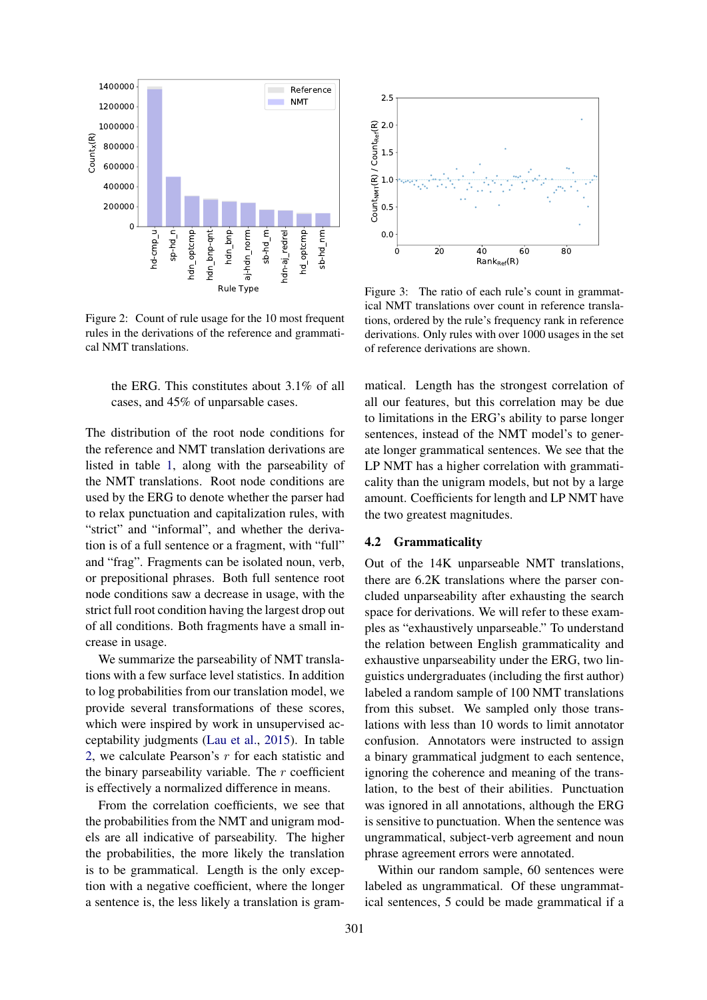

<span id="page-3-1"></span>Figure 2: Count of rule usage for the 10 most frequent rules in the derivations of the reference and grammatical NMT translations.

the ERG. This constitutes about 3.1% of all cases, and 45% of unparsable cases.

The distribution of the root node conditions for the reference and NMT translation derivations are listed in table [1,](#page-2-1) along with the parseability of the NMT translations. Root node conditions are used by the ERG to denote whether the parser had to relax punctuation and capitalization rules, with "strict" and "informal", and whether the derivation is of a full sentence or a fragment, with "full" and "frag". Fragments can be isolated noun, verb, or prepositional phrases. Both full sentence root node conditions saw a decrease in usage, with the strict full root condition having the largest drop out of all conditions. Both fragments have a small increase in usage.

We summarize the parseability of NMT translations with a few surface level statistics. In addition to log probabilities from our translation model, we provide several transformations of these scores, which were inspired by work in unsupervised acceptability judgments [\(Lau et al.,](#page-7-12) [2015\)](#page-7-12). In table [2,](#page-2-2) we calculate Pearson's r for each statistic and the binary parseability variable. The  $r$  coefficient is effectively a normalized difference in means.

From the correlation coefficients, we see that the probabilities from the NMT and unigram models are all indicative of parseability. The higher the probabilities, the more likely the translation is to be grammatical. Length is the only exception with a negative coefficient, where the longer a sentence is, the less likely a translation is gram-



<span id="page-3-2"></span>Figure 3: The ratio of each rule's count in grammatical NMT translations over count in reference translations, ordered by the rule's frequency rank in reference derivations. Only rules with over 1000 usages in the set of reference derivations are shown.

matical. Length has the strongest correlation of all our features, but this correlation may be due to limitations in the ERG's ability to parse longer sentences, instead of the NMT model's to generate longer grammatical sentences. We see that the LP NMT has a higher correlation with grammaticality than the unigram models, but not by a large amount. Coefficients for length and LP NMT have the two greatest magnitudes.

## <span id="page-3-0"></span>4.2 Grammaticality

Out of the 14K unparseable NMT translations, there are 6.2K translations where the parser concluded unparseability after exhausting the search space for derivations. We will refer to these examples as "exhaustively unparseable." To understand the relation between English grammaticality and exhaustive unparseability under the ERG, two linguistics undergraduates (including the first author) labeled a random sample of 100 NMT translations from this subset. We sampled only those translations with less than 10 words to limit annotator confusion. Annotators were instructed to assign a binary grammatical judgment to each sentence, ignoring the coherence and meaning of the translation, to the best of their abilities. Punctuation was ignored in all annotations, although the ERG is sensitive to punctuation. When the sentence was ungrammatical, subject-verb agreement and noun phrase agreement errors were annotated.

Within our random sample, 60 sentences were labeled as ungrammatical. Of these ungrammatical sentences, 5 could be made grammatical if a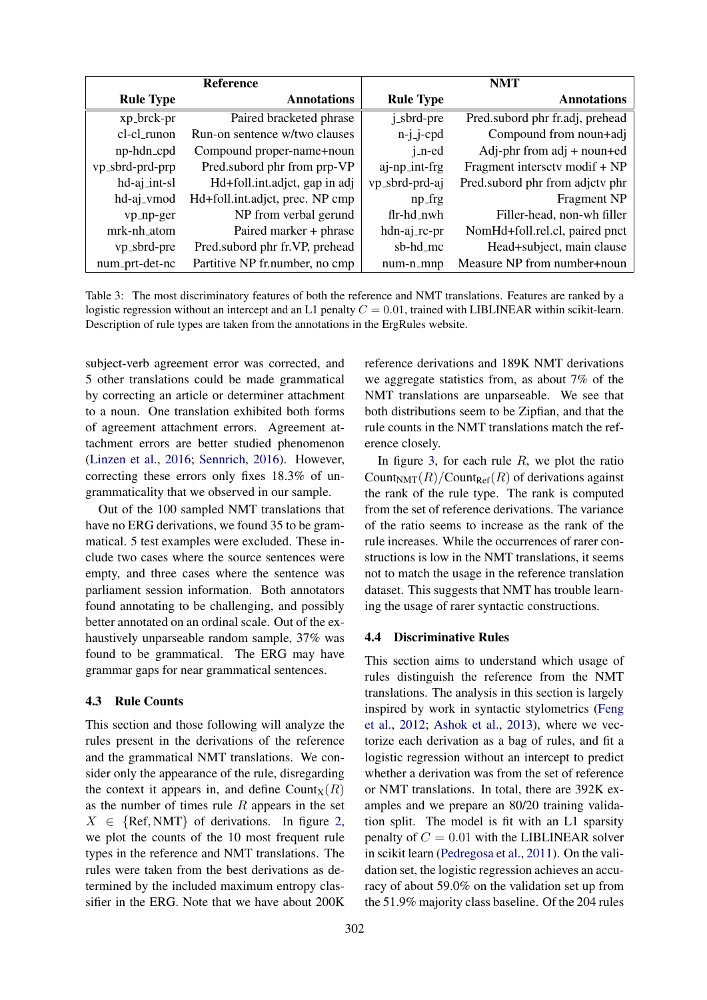| <b>Reference</b> |                                 | <b>NMT</b>           |                                 |  |
|------------------|---------------------------------|----------------------|---------------------------------|--|
| <b>Rule Type</b> | <b>Annotations</b>              | <b>Rule Type</b>     | <b>Annotations</b>              |  |
| xp_brck-pr       | Paired bracketed phrase         | j_sbrd-pre           | Pred.subord phr fr.adj, prehead |  |
| cl-cl_runon      | Run-on sentence w/two clauses   | $n-j$ -j-cpd         | Compound from noun+adj          |  |
| np-hdn_cpd       | Compound proper-name+noun       | $j$ <sub>-n-ed</sub> | Adj-phr from $adj + noun + ed$  |  |
| vp_sbrd-prd-prp  | Pred.subord phr from prp-VP     | aj-np_int-frg        | Fragment intersctv modif + NP   |  |
| hd-aj_int-sl     | Hd+foll.int.adjct, gap in adj   | vp_sbrd-prd-aj       | Pred.subord phr from adjctv phr |  |
| hd-aj_vmod       | Hd+foll.int.adjct, prec. NP cmp | np_frg               | Fragment NP                     |  |
| vp_np-ger        | NP from verbal gerund           | flr-hd_nwh           | Filler-head, non-wh filler      |  |
| mrk-nh_atom      | Paired marker + phrase          | hdn-aj_rc-pr         | NomHd+foll.rel.cl, paired pnct  |  |
| vp_sbrd-pre      | Pred.subord phr fr.VP, prehead  | sb-hd_mc             | Head+subject, main clause       |  |
| num_prt-det-nc   | Partitive NP fr.number, no cmp  | num-n_mnp            | Measure NP from number+noun     |  |

<span id="page-4-1"></span>Table 3: The most discriminatory features of both the reference and NMT translations. Features are ranked by a logistic regression without an intercept and an L1 penalty  $C = 0.01$ , trained with LIBLINEAR within scikit-learn. Description of rule types are taken from the annotations in the ErgRules website.

subject-verb agreement error was corrected, and 5 other translations could be made grammatical by correcting an article or determiner attachment to a noun. One translation exhibited both forms of agreement attachment errors. Agreement attachment errors are better studied phenomenon [\(Linzen et al.,](#page-7-6) [2016;](#page-7-6) [Sennrich,](#page-7-7) [2016\)](#page-7-7). However, correcting these errors only fixes 18.3% of ungrammaticality that we observed in our sample.

Out of the 100 sampled NMT translations that have no ERG derivations, we found 35 to be grammatical. 5 test examples were excluded. These include two cases where the source sentences were empty, and three cases where the sentence was parliament session information. Both annotators found annotating to be challenging, and possibly better annotated on an ordinal scale. Out of the exhaustively unparseable random sample, 37% was found to be grammatical. The ERG may have grammar gaps for near grammatical sentences.

## 4.3 Rule Counts

This section and those following will analyze the rules present in the derivations of the reference and the grammatical NMT translations. We consider only the appearance of the rule, disregarding the context it appears in, and define Count $\chi(R)$ as the number of times rule  $R$  appears in the set  $X \in \{Ref, NMT\}$  of derivations. In figure [2,](#page-3-1) we plot the counts of the 10 most frequent rule types in the reference and NMT translations. The rules were taken from the best derivations as determined by the included maximum entropy classifier in the ERG. Note that we have about 200K

reference derivations and 189K NMT derivations we aggregate statistics from, as about 7% of the NMT translations are unparseable. We see that both distributions seem to be Zipfian, and that the rule counts in the NMT translations match the reference closely.

In figure [3,](#page-3-2) for each rule  $R$ , we plot the ratio Count<sub>NMT</sub> $(R)/$ Count<sub>Ref</sub> $(R)$  of derivations against the rank of the rule type. The rank is computed from the set of reference derivations. The variance of the ratio seems to increase as the rank of the rule increases. While the occurrences of rarer constructions is low in the NMT translations, it seems not to match the usage in the reference translation dataset. This suggests that NMT has trouble learning the usage of rarer syntactic constructions.

#### <span id="page-4-0"></span>4.4 Discriminative Rules

This section aims to understand which usage of rules distinguish the reference from the NMT translations. The analysis in this section is largely inspired by work in syntactic stylometrics [\(Feng](#page-6-6) [et al.,](#page-6-6) [2012;](#page-6-6) [Ashok et al.,](#page-6-7) [2013\)](#page-6-7), where we vectorize each derivation as a bag of rules, and fit a logistic regression without an intercept to predict whether a derivation was from the set of reference or NMT translations. In total, there are 392K examples and we prepare an 80/20 training validation split. The model is fit with an L1 sparsity penalty of  $C = 0.01$  with the LIBLINEAR solver in scikit learn [\(Pedregosa et al.,](#page-7-13) [2011\)](#page-7-13). On the validation set, the logistic regression achieves an accuracy of about 59.0% on the validation set up from the 51.9% majority class baseline. Of the 204 rules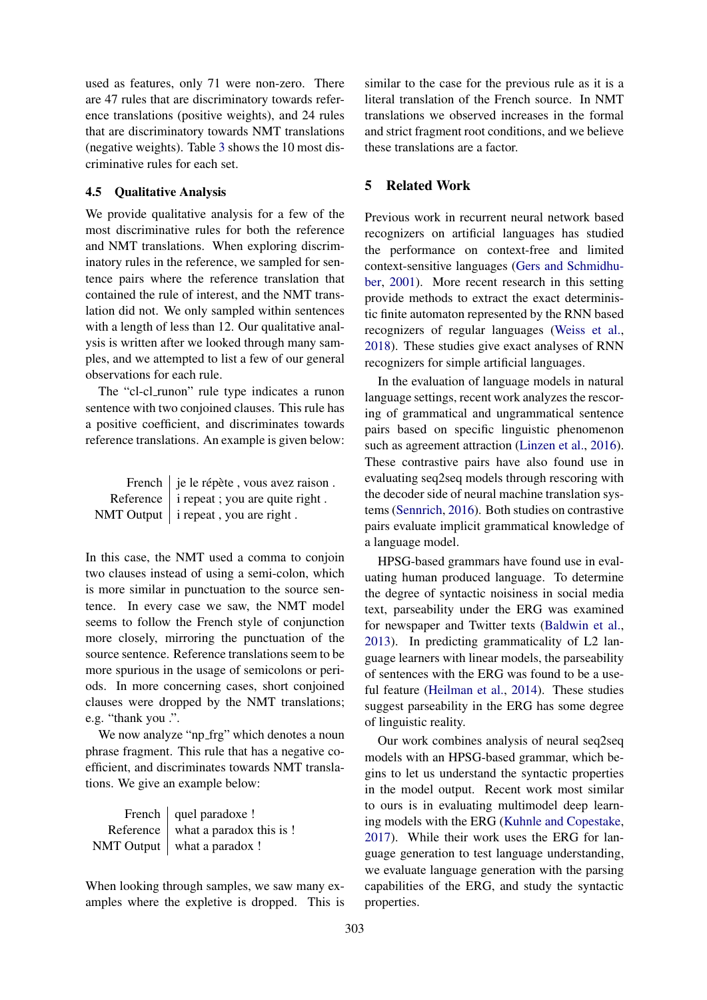used as features, only 71 were non-zero. There are 47 rules that are discriminatory towards reference translations (positive weights), and 24 rules that are discriminatory towards NMT translations (negative weights). Table [3](#page-4-1) shows the 10 most discriminative rules for each set.

#### 4.5 Qualitative Analysis

We provide qualitative analysis for a few of the most discriminative rules for both the reference and NMT translations. When exploring discriminatory rules in the reference, we sampled for sentence pairs where the reference translation that contained the rule of interest, and the NMT translation did not. We only sampled within sentences with a length of less than 12. Our qualitative analysis is written after we looked through many samples, and we attempted to list a few of our general observations for each rule.

The "cl-cl runon" rule type indicates a runon sentence with two conjoined clauses. This rule has a positive coefficient, and discriminates towards reference translations. An example is given below:

| French   je le répète, vous avez raison.          |
|---------------------------------------------------|
| Reference $\vert$ i repeat ; you are quite right. |
| NMT Output $\vert$ i repeat, you are right.       |

In this case, the NMT used a comma to conjoin two clauses instead of using a semi-colon, which is more similar in punctuation to the source sentence. In every case we saw, the NMT model seems to follow the French style of conjunction more closely, mirroring the punctuation of the source sentence. Reference translations seem to be more spurious in the usage of semicolons or periods. In more concerning cases, short conjoined clauses were dropped by the NMT translations; e.g. "thank you .".

We now analyze "np\_frg" which denotes a noun phrase fragment. This rule that has a negative coefficient, and discriminates towards NMT translations. We give an example below:

| French   quel paradoxe !             |
|--------------------------------------|
| Reference   what a paradox this is ! |
| NMT Output   what a paradox !        |

When looking through samples, we saw many examples where the expletive is dropped. This is

similar to the case for the previous rule as it is a literal translation of the French source. In NMT translations we observed increases in the formal and strict fragment root conditions, and we believe these translations are a factor.

# 5 Related Work

Previous work in recurrent neural network based recognizers on artificial languages has studied the performance on context-free and limited context-sensitive languages [\(Gers and Schmidhu](#page-6-2)[ber,](#page-6-2) [2001\)](#page-6-2). More recent research in this setting provide methods to extract the exact deterministic finite automaton represented by the RNN based recognizers of regular languages [\(Weiss et al.,](#page-7-5) [2018\)](#page-7-5). These studies give exact analyses of RNN recognizers for simple artificial languages.

In the evaluation of language models in natural language settings, recent work analyzes the rescoring of grammatical and ungrammatical sentence pairs based on specific linguistic phenomenon such as agreement attraction [\(Linzen et al.,](#page-7-6) [2016\)](#page-7-6). These contrastive pairs have also found use in evaluating seq2seq models through rescoring with the decoder side of neural machine translation systems [\(Sennrich,](#page-7-7) [2016\)](#page-7-7). Both studies on contrastive pairs evaluate implicit grammatical knowledge of a language model.

HPSG-based grammars have found use in evaluating human produced language. To determine the degree of syntactic noisiness in social media text, parseability under the ERG was examined for newspaper and Twitter texts [\(Baldwin et al.,](#page-6-8) [2013\)](#page-6-8). In predicting grammaticality of L2 language learners with linear models, the parseability of sentences with the ERG was found to be a useful feature [\(Heilman et al.,](#page-6-9) [2014\)](#page-6-9). These studies suggest parseability in the ERG has some degree of linguistic reality.

Our work combines analysis of neural seq2seq models with an HPSG-based grammar, which begins to let us understand the syntactic properties in the model output. Recent work most similar to ours is in evaluating multimodel deep learning models with the ERG [\(Kuhnle and Copestake,](#page-7-14) [2017\)](#page-7-14). While their work uses the ERG for language generation to test language understanding, we evaluate language generation with the parsing capabilities of the ERG, and study the syntactic properties.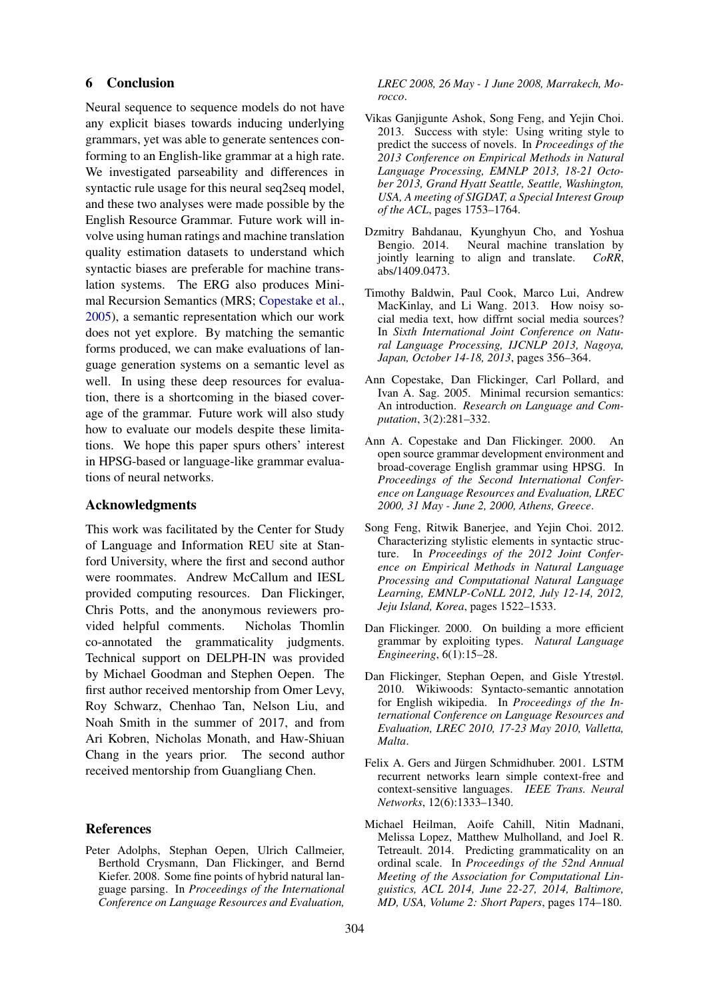## 6 Conclusion

Neural sequence to sequence models do not have any explicit biases towards inducing underlying grammars, yet was able to generate sentences conforming to an English-like grammar at a high rate. We investigated parseability and differences in syntactic rule usage for this neural seq2seq model, and these two analyses were made possible by the English Resource Grammar. Future work will involve using human ratings and machine translation quality estimation datasets to understand which syntactic biases are preferable for machine translation systems. The ERG also produces Minimal Recursion Semantics (MRS; [Copestake et al.,](#page-6-10) [2005\)](#page-6-10), a semantic representation which our work does not yet explore. By matching the semantic forms produced, we can make evaluations of language generation systems on a semantic level as well. In using these deep resources for evaluation, there is a shortcoming in the biased coverage of the grammar. Future work will also study how to evaluate our models despite these limitations. We hope this paper spurs others' interest in HPSG-based or language-like grammar evaluations of neural networks.

## Acknowledgments

This work was facilitated by the Center for Study of Language and Information REU site at Stanford University, where the first and second author were roommates. Andrew McCallum and IESL provided computing resources. Dan Flickinger, Chris Potts, and the anonymous reviewers provided helpful comments. Nicholas Thomlin co-annotated the grammaticality judgments. Technical support on DELPH-IN was provided by Michael Goodman and Stephen Oepen. The first author received mentorship from Omer Levy, Roy Schwarz, Chenhao Tan, Nelson Liu, and Noah Smith in the summer of 2017, and from Ari Kobren, Nicholas Monath, and Haw-Shiuan Chang in the years prior. The second author received mentorship from Guangliang Chen.

#### References

<span id="page-6-4"></span>Peter Adolphs, Stephan Oepen, Ulrich Callmeier, Berthold Crysmann, Dan Flickinger, and Bernd Kiefer. 2008. Some fine points of hybrid natural language parsing. In *Proceedings of the International Conference on Language Resources and Evaluation,*

*LREC 2008, 26 May - 1 June 2008, Marrakech, Morocco*.

- <span id="page-6-7"></span>Vikas Ganjigunte Ashok, Song Feng, and Yejin Choi. 2013. Success with style: Using writing style to predict the success of novels. In *Proceedings of the 2013 Conference on Empirical Methods in Natural Language Processing, EMNLP 2013, 18-21 October 2013, Grand Hyatt Seattle, Seattle, Washington, USA, A meeting of SIGDAT, a Special Interest Group of the ACL*, pages 1753–1764.
- <span id="page-6-0"></span>Dzmitry Bahdanau, Kyunghyun Cho, and Yoshua Bengio. 2014. Neural machine translation by jointly learning to align and translate. *CoRR*, abs/1409.0473.
- <span id="page-6-8"></span>Timothy Baldwin, Paul Cook, Marco Lui, Andrew MacKinlay, and Li Wang. 2013. How noisy social media text, how diffrnt social media sources? In *Sixth International Joint Conference on Natural Language Processing, IJCNLP 2013, Nagoya, Japan, October 14-18, 2013*, pages 356–364.
- <span id="page-6-10"></span>Ann Copestake, Dan Flickinger, Carl Pollard, and Ivan A. Sag. 2005. Minimal recursion semantics: An introduction. *Research on Language and Computation*, 3(2):281–332.
- <span id="page-6-5"></span>Ann A. Copestake and Dan Flickinger. 2000. An open source grammar development environment and broad-coverage English grammar using HPSG. In *Proceedings of the Second International Conference on Language Resources and Evaluation, LREC 2000, 31 May - June 2, 2000, Athens, Greece*.
- <span id="page-6-6"></span>Song Feng, Ritwik Banerjee, and Yejin Choi. 2012. Characterizing stylistic elements in syntactic structure. In *Proceedings of the 2012 Joint Conference on Empirical Methods in Natural Language Processing and Computational Natural Language Learning, EMNLP-CoNLL 2012, July 12-14, 2012, Jeju Island, Korea*, pages 1522–1533.
- <span id="page-6-1"></span>Dan Flickinger. 2000. On building a more efficient grammar by exploiting types. *Natural Language Engineering*, 6(1):15–28.
- <span id="page-6-3"></span>Dan Flickinger, Stephan Oepen, and Gisle Ytrestøl. 2010. Wikiwoods: Syntacto-semantic annotation for English wikipedia. In *Proceedings of the International Conference on Language Resources and Evaluation, LREC 2010, 17-23 May 2010, Valletta, Malta*.
- <span id="page-6-2"></span>Felix A. Gers and Jürgen Schmidhuber. 2001. LSTM recurrent networks learn simple context-free and context-sensitive languages. *IEEE Trans. Neural Networks*, 12(6):1333–1340.
- <span id="page-6-9"></span>Michael Heilman, Aoife Cahill, Nitin Madnani, Melissa Lopez, Matthew Mulholland, and Joel R. Tetreault. 2014. Predicting grammaticality on an ordinal scale. In *Proceedings of the 52nd Annual Meeting of the Association for Computational Linguistics, ACL 2014, June 22-27, 2014, Baltimore, MD, USA, Volume 2: Short Papers*, pages 174–180.